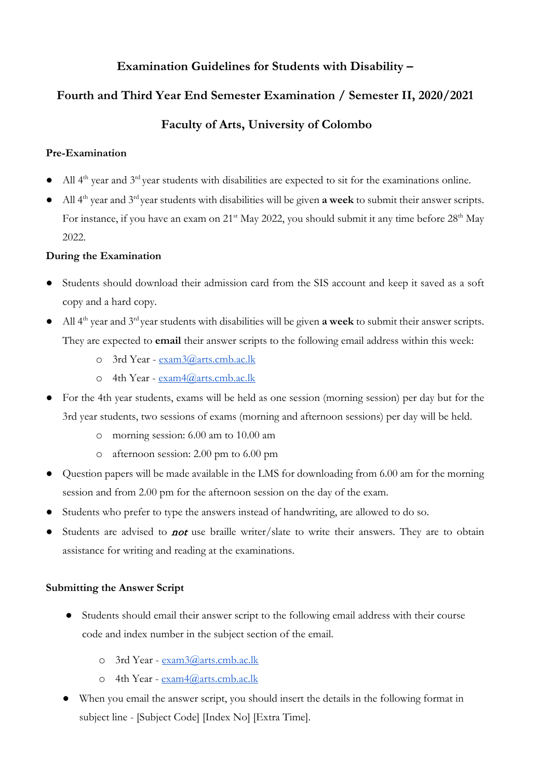## **Examination Guidelines for Students with Disability –**

# **Fourth and Third Year End Semester Examination / Semester II, 2020/2021**

# **Faculty of Arts, University of Colombo**

## **Pre-Examination**

- All 4<sup>th</sup> year and 3<sup>rd</sup> year students with disabilities are expected to sit for the examinations online.
- All 4th year and 3rd year students with disabilities will be given **a week** to submit their answer scripts. For instance, if you have an exam on 21<sup>st</sup> May 2022, you should submit it any time before 28<sup>th</sup> May 2022.

## **During the Examination**

- Students should download their admission card from the SIS account and keep it saved as a soft copy and a hard copy.
- All 4th year and 3rd year students with disabilities will be given **a week** to submit their answer scripts. They are expected to **email** their answer scripts to the following email address within this week:
	- o 3rd Year - [exam3@arts.cmb.ac.lk](mailto:exam3@arts.cmb.ac.lk)
	- o 4th Year - [exam4@arts.cmb.ac.lk](mailto:exam4@arts.cmb.ac.lk)
- For the 4th year students, exams will be held as one session (morning session) per day but for the 3rd year students, two sessions of exams (morning and afternoon sessions) per day will be held.
	- o morning session: 6.00 am to 10.00 am
	- o afternoon session: 2.00 pm to 6.00 pm
- Question papers will be made available in the LMS for downloading from 6.00 am for the morning session and from 2.00 pm for the afternoon session on the day of the exam.
- Students who prefer to type the answers instead of handwriting, are allowed to do so.
- Students are advised to *not* use braille writer/slate to write their answers. They are to obtain assistance for writing and reading at the examinations.

### **Submitting the Answer Script**

- Students should email their answer script to the following email address with their course code and index number in the subject section of the email.
	- o 3rd Year - [exam3@arts.cmb.ac.lk](mailto:exam3@arts.cmb.ac.lk)
	- o 4th Year - [exam4@arts.cmb.ac.lk](mailto:exam4@arts.cmb.ac.lk)
- When you email the answer script, you should insert the details in the following format in subject line - [Subject Code] [Index No] [Extra Time].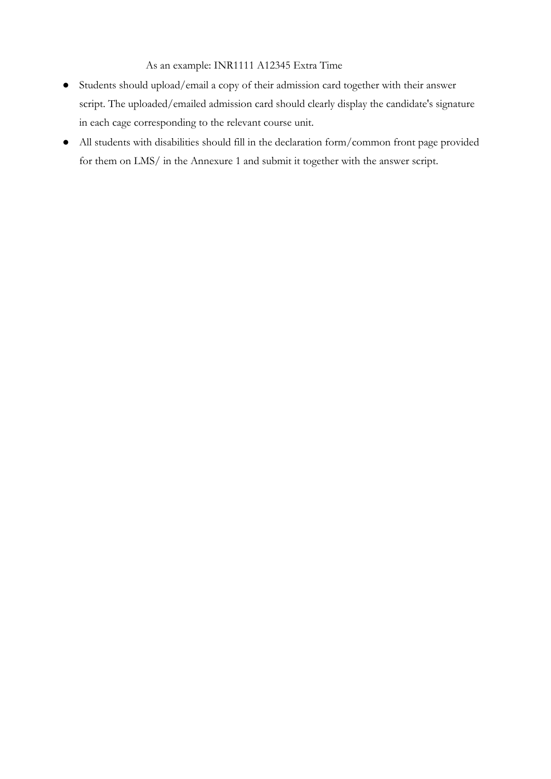As an example: INR1111 A12345 Extra Time

- Students should upload/email a copy of their admission card together with their answer script. The uploaded/emailed admission card should clearly display the candidate's signature in each cage corresponding to the relevant course unit.
- All students with disabilities should fill in the declaration form/common front page provided for them on LMS/ in the Annexure 1 and submit it together with the answer script.